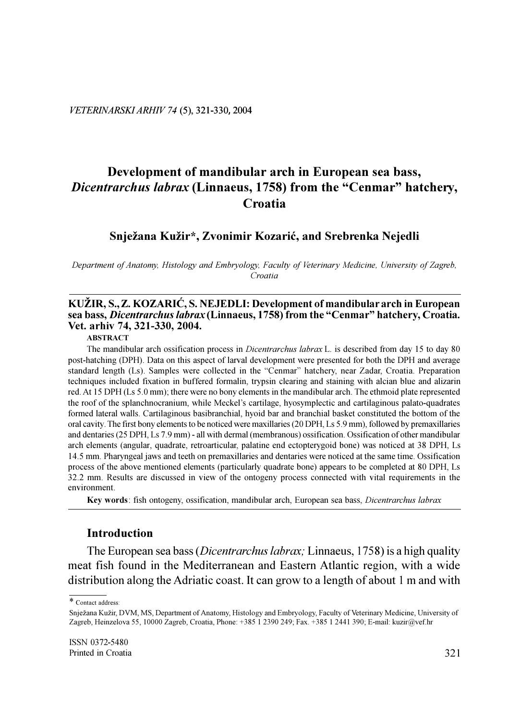# Development of mandibular arch in European sea bass, Dicentrarchus labrax (Linnaeus, 1758) from the "Cenmar" hatchery, Croatia

#### Snježana Kužir\*, Zvonimir Kozarić, and Srebrenka Nejedli

Department of Anatomy, Histology and Embryology, Faculty of Veterinary Medicine, University of Zagreb, Croatia

#### KUŽIR, S., Z. KOZARIĆ, S. NEJEDLI: Development of mandibular arch in European sea bass, *Dicentrarchus labrax* (Linnaeus, 1758) from the "Cenmar" hatchery, Croatia. Vet. arhiv 74, 321-330, 2004.

**ABSTRACT** 

The mandibular arch ossification process in *Dicentrarchus labrax* L. is described from day 15 to day 80 post-hatching (DPH). Data on this aspect of larval development were presented for both the DPH and average standard length (Ls). Samples were collected in the "Cenmar" hatchery, near Zadar, Croatia. Preparation techniques included fixation in buffered formalin, trypsin clearing and staining with alcian blue and alizarin red. At 15 DPH (Ls 5.0 mm): there were no bony elements in the mandibular arch. The ethmoid plate represented the roof of the splanchnocranium, while Meckel's cartilage, hyosymplectic and cartilaginous palato-quadrates formed lateral walls. Cartilaginous basibranchial, hyoid bar and branchial basket constituted the bottom of the oral cavity. The first bony elements to be noticed were maxillaries (20 DPH, Ls 5.9 mm), followed by premaxillaries and dentaries (25 DPH, Ls 7.9 mm) - all with dermal (membranous) ossification. Ossification of other mandibular arch elements (angular, quadrate, retroarticular, palatine end ectopterygoid bone) was noticed at 38 DPH, Ls 14.5 mm. Pharyngeal jaws and teeth on premaxillaries and dentaries were noticed at the same time. Ossification process of the above mentioned elements (particularly quadrate bone) appears to be completed at 80 DPH, Ls 32.2 mm. Results are discussed in view of the ontogeny process connected with vital requirements in the environment.

Key words: fish ontogeny, ossification, mandibular arch, European sea bass, *Dicentrarchus labrax* 

#### **Introduction**

The European sea bass (*Dicentrarchus labrax*; Linnaeus, 1758) is a high quality meat fish found in the Mediterranean and Eastern Atlantic region, with a wide distribution along the Adriatic coast. It can grow to a length of about 1 m and with

<sup>\*</sup> Contact address:

Snježana Kužir, DVM, MS, Department of Anatomy, Histology and Embryology, Faculty of Veterinary Medicine, University of Zagreb, Heinzelova 55, 10000 Zagreb, Croatia, Phone: +385 1 2390 249; Fax. +385 1 2441 390; E-mail: kuzir@vef.hr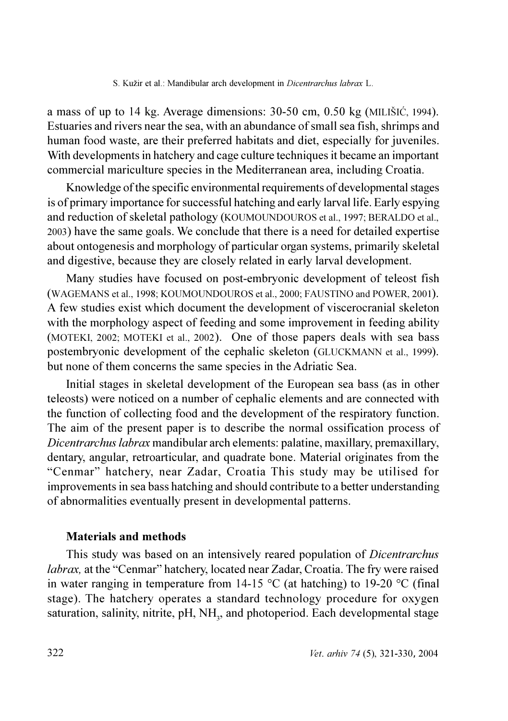a mass of up to 14 kg. Average dimensions:  $30-50$  cm,  $0.50$  kg (MILIŠIĆ, 1994). Estuaries and rivers near the sea, with an abundance of small sea fish, shrimps and human food waste, are their preferred habitats and diet, especially for juveniles. With developments in hatchery and cage culture techniques it became an important commercial mariculture species in the Mediterranean area, including Croatia.

Knowledge of the specific environmental requirements of developmental stages is of primary importance for successful hatching and early larval life. Early espying and reduction of skeletal pathology (KOUMOUNDOUROS et al., 1997; BERALDO et al., 2003) have the same goals. We conclude that there is a need for detailed expertise about ontogenesis and morphology of particular organ systems, primarily skeletal and digestive, because they are closely related in early larval development.

Many studies have focused on post-embryonic development of teleost fish (WAGEMANS et al., 1998; KOUMOUNDOUROS et al., 2000; FAUSTINO and POWER, 2001). A few studies exist which document the development of viscerocranial skeleton with the morphology aspect of feeding and some improvement in feeding ability (MOTEKI, 2002; MOTEKI et al., 2002). One of those papers deals with sea bass postembryonic development of the cephalic skeleton (GLUCKMANN et al., 1999). but none of them concerns the same species in the Adriatic Sea.

Initial stages in skeletal development of the European sea bass (as in other teleosts) were noticed on a number of cephalic elements and are connected with the function of collecting food and the development of the respiratory function. The aim of the present paper is to describe the normal ossification process of Dicentrarchus labrax mandibular arch elements: palatine, maxillary, premaxillary, dentary, angular, retroarticular, and quadrate bone. Material originates from the "Cenmar" hatchery, near Zadar, Croatia This study may be utilised for improvements in sea bass hatching and should contribute to a better understanding of abnormalities eventually present in developmental patterns.

### **Materials and methods**

This study was based on an intensively reared population of *Dicentrarchus labrax*, at the "Cenmar" hatchery, located near Zadar, Croatia. The fry were raised in water ranging in temperature from 14-15  $^{\circ}$ C (at hatching) to 19-20  $^{\circ}$ C (final stage). The hatchery operates a standard technology procedure for oxygen saturation, salinity, nitrite, pH, NH<sub>2</sub>, and photoperiod. Each developmental stage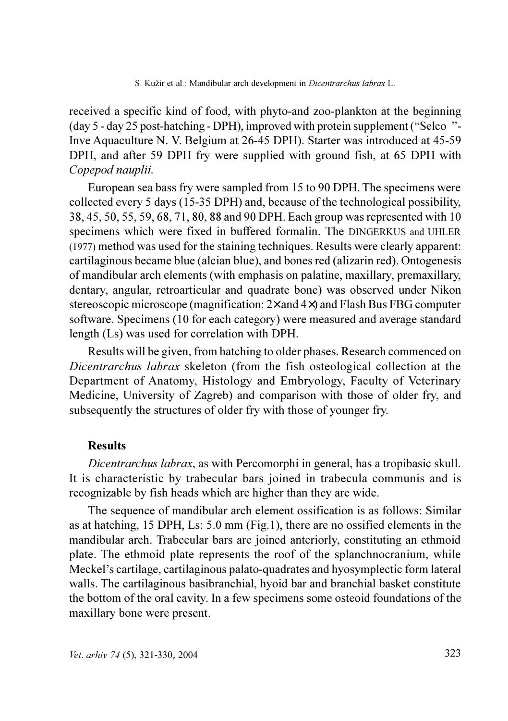received a specific kind of food, with phyto-and zoo-plankton at the beginning (day 5 - day 25 post-hatching - DPH), improved with protein supplement ("Selco<sup>®</sup>"-Inve Aquaculture N. V. Belgium at 26-45 DPH). Starter was introduced at 45-59 DPH, and after 59 DPH fry were supplied with ground fish, at 65 DPH with Copepod nauplii.

European sea bass fry were sampled from 15 to 90 DPH. The specimens were collected every 5 days (15-35 DPH) and, because of the technological possibility, 38, 45, 50, 55, 59, 68, 71, 80, 88 and 90 DPH. Each group was represented with 10 specimens which were fixed in buffered formalin. The DINGERKUS and UHLER (1977) method was used for the staining techniques. Results were clearly apparent: cartilaginous became blue (alcian blue), and bones red (alizarin red). Ontogenesis of mandibular arch elements (with emphasis on palatine, maxillary, premaxillary, dentary, angular, retroarticular and quadrate bone) was observed under Nikon stereoscopic microscope (magnification:  $2\times$  and  $4\times$ ) and Flash Bus FBG computer software. Specimens (10 for each category) were measured and average standard length (Ls) was used for correlation with DPH.

Results will be given, from hatching to older phases. Research commenced on Dicentrarchus labrax skeleton (from the fish osteological collection at the Department of Anatomy, Histology and Embryology, Faculty of Veterinary Medicine, University of Zagreb) and comparison with those of older fry, and subsequently the structures of older fry with those of younger fry.

# **Results**

Dicentrarchus labrax, as with Percomorphi in general, has a tropibasic skull. It is characteristic by trabecular bars joined in trabecula communis and is recognizable by fish heads which are higher than they are wide.

The sequence of mandibular arch element ossification is as follows: Similar as at hatching, 15 DPH, Ls: 5.0 mm (Fig.1), there are no ossified elements in the mandibular arch. Trabecular bars are joined anteriorly, constituting an ethmoid plate. The ethmoid plate represents the roof of the splanch nocranium, while Meckel's cartilage, cartilaginous palato-quadrates and hyosymplectic form lateral walls. The cartilaginous basibranchial, hyoid bar and branchial basket constitute the bottom of the oral cavity. In a few specimens some osteoid foundations of the maxillary bone were present.

S. Kužir et al.: Mandibular arch development in *Dicentrarchus labrax* L.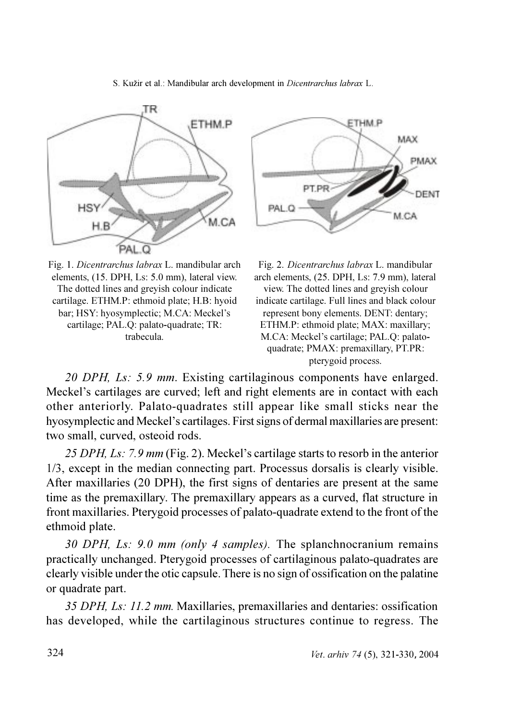

Fig. 1. Dicentrarchus labrax L. mandibular arch elements, (15. DPH, Ls: 5.0 mm), lateral view. The dotted lines and grevish colour indicate cartilage. ETHM.P: ethmoid plate; H.B: hyoid bar; HSY: hyosymplectic; M.CA: Meckel's cartilage; PAL.Q: palato-quadrate; TR: trabecula



Fig. 2. Dicentrarchus labrax L. mandibular arch elements, (25. DPH, Ls: 7.9 mm), lateral view. The dotted lines and grevish colour indicate cartilage. Full lines and black colour represent bony elements. DENT: dentary: ETHM.P: ethmoid plate; MAX: maxillary; M.CA: Meckel's cartilage; PAL.O: palatoquadrate; PMAX: premaxillary, PT.PR: pterygoid process.

20 DPH, Ls: 5.9 mm. Existing cartilaginous components have enlarged. Meckel's cartilages are curved; left and right elements are in contact with each other anteriorly. Palato-quadrates still appear like small sticks near the hyosymplectic and Meckel's cartilages. First signs of dermal maxillaries are present: two small, curved, osteoid rods.

25 DPH, Ls: 7.9 mm (Fig. 2). Meckel's cartilage starts to resorb in the anterior 1/3, except in the median connecting part. Processus dorsalis is clearly visible. After maxillaries (20 DPH), the first signs of dentaries are present at the same time as the premaxillary. The premaxillary appears as a curved, flat structure in front maxillaries. Pterygoid processes of palato-quadrate extend to the front of the ethmoid plate.

30 DPH, Ls: 9.0 mm (only 4 samples). The splanchnocranium remains practically unchanged. Pterygoid processes of cartilaginous palato-quadrates are clearly visible under the otic capsule. There is no sign of ossification on the palatine or quadrate part.

35 DPH, Ls: 11.2 mm. Maxillaries, premaxillaries and dentaries: ossification has developed, while the cartilaginous structures continue to regress. The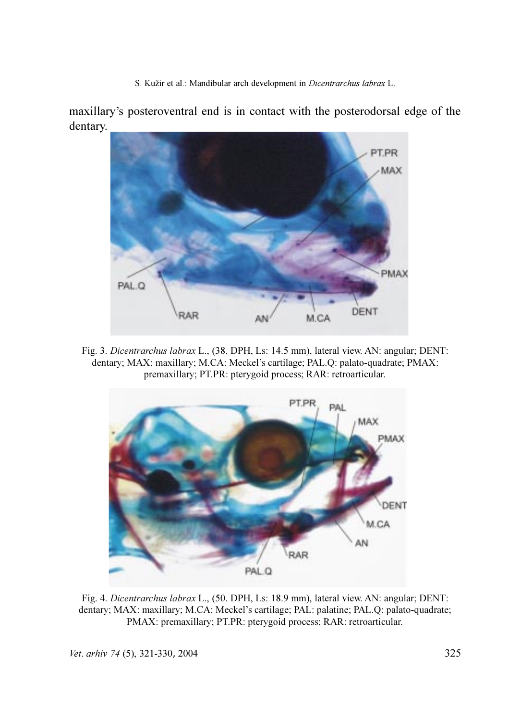maxillary's posteroventral end is in contact with the posterodorsal edge of the dentary.



Fig. 3. Dicentrarchus labrax L., (38. DPH, Ls: 14.5 mm), lateral view. AN: angular; DENT: dentary; MAX: maxillary; M.CA: Meckel's cartilage; PAL.Q: palato-quadrate; PMAX: premaxillary; PT.PR: pterygoid process; RAR: retroarticular.



Fig. 4. Dicentrarchus labrax L., (50. DPH, Ls: 18.9 mm), lateral view. AN: angular; DENT: dentary; MAX: maxillary; M.CA: Meckel's cartilage; PAL: palatine; PAL.Q: palato-quadrate; PMAX: premaxillary; PT.PR: pterygoid process; RAR: retroarticular.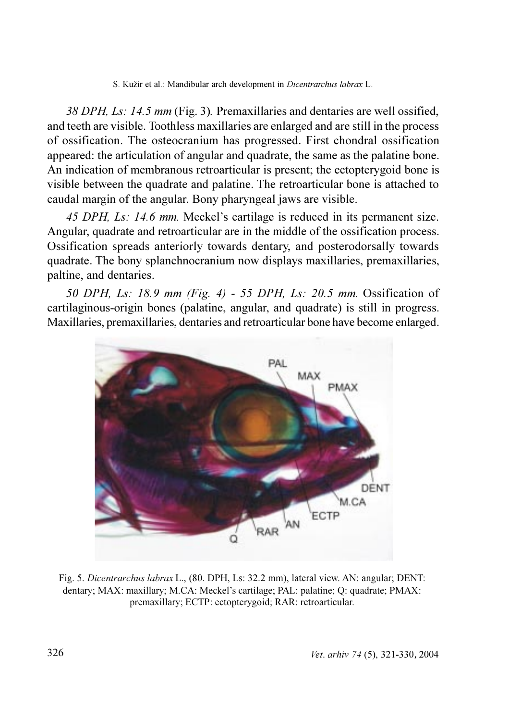38 DPH, Ls: 14.5 mm (Fig. 3). Premaxillaries and dentaries are well ossified, and teeth are visible. Toothless maxillaries are enlarged and are still in the process of ossification. The osteocranium has progressed. First chondral ossification appeared: the articulation of angular and quadrate, the same as the palatine bone. An indication of membranous retroarticular is present; the ectoptery goid bone is visible between the quadrate and palatine. The retroarticular bone is attached to caudal margin of the angular. Bony pharyngeal jaws are visible.

45 DPH, Ls: 14.6 mm. Meckel's cartilage is reduced in its permanent size. Angular, quadrate and retroarticular are in the middle of the ossification process. Ossification spreads anteriorly towards dentary, and posterodorsally towards quadrate. The bony splanch no cranium now displays maxillaries, premaxillaries, paltine, and dentaries.

50 DPH, Ls: 18.9 mm (Fig. 4) - 55 DPH, Ls: 20.5 mm. Ossification of cartilaginous-origin bones (palatine, angular, and quadrate) is still in progress. Maxillaries, premaxillaries, dentaries and retroarticular bone have become enlarged.



Fig. 5. Dicentrarchus labrax L., (80. DPH, Ls: 32.2 mm), lateral view. AN: angular; DENT: dentary; MAX: maxillary; M.CA: Meckel's cartilage; PAL: palatine; Q: quadrate; PMAX: premaxillary; ECTP: ectopterygoid; RAR: retroarticular.

S. Kužir et al.: Mandibular arch development in Dicentrarchus labrax L.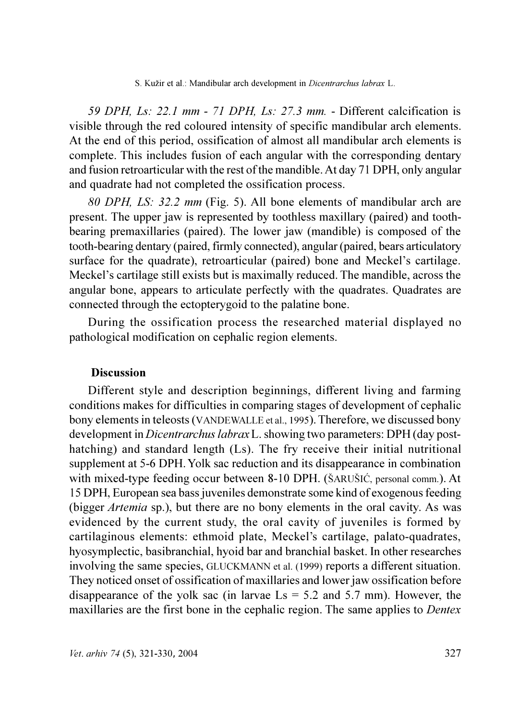59 DPH, Ls: 22.1 mm - 71 DPH, Ls: 27.3 mm. - Different calcification is visible through the red coloured intensity of specific mandibular arch elements. At the end of this period, ossification of almost all mandibular arch elements is complete. This includes fusion of each angular with the corresponding dentary and fusion retroarticular with the rest of the mandible. At day 71 DPH, only angular and quadrate had not completed the ossification process.

80 DPH, LS: 32.2 mm (Fig. 5). All bone elements of mandibular arch are present. The upper jaw is represented by toothless maxillary (paired) and toothbearing premaxillaries (paired). The lower jaw (mandible) is composed of the tooth-bearing dentary (paired, firmly connected), angular (paired, bears articulatory surface for the quadrate), retroarticular (paired) bone and Meckel's cartilage. Meckel's cartilage still exists but is maximally reduced. The mandible, across the angular bone, appears to articulate perfectly with the quadrates. Quadrates are connected through the ectoptery goid to the palatine bone.

During the ossification process the researched material displayed no pathological modification on cephalic region elements.

### **Discussion**

Different style and description beginnings, different living and farming conditions makes for difficulties in comparing stages of development of cephalic bony elements in teleosts (VANDEWALLE et al., 1995). Therefore, we discussed bony development in *Dicentrarchus labrax* L. showing two parameters: DPH (day posthatching) and standard length (Ls). The fry receive their initial nutritional supplement at 5-6 DPH. Yolk sac reduction and its disappearance in combination with mixed-type feeding occur between 8-10 DPH. (ŠARUŠIĆ, personal comm.). At 15 DPH, European sea bass juveniles demonstrate some kind of exogenous feeding (bigger *Artemia* sp.), but there are no bony elements in the oral cavity. As was evidenced by the current study, the oral cavity of juveniles is formed by cartilaginous elements: ethmoid plate, Meckel's cartilage, palato-quadrates, hyosymplectic, basibranchial, hyoid bar and branchial basket. In other researches involving the same species, GLUCKMANN et al. (1999) reports a different situation. They noticed onset of ossification of maxillaries and lower jaw ossification before disappearance of the yolk sac (in larvae  $\text{Ls} = 5.2$  and 5.7 mm). However, the maxillaries are the first bone in the cephalic region. The same applies to *Dentex*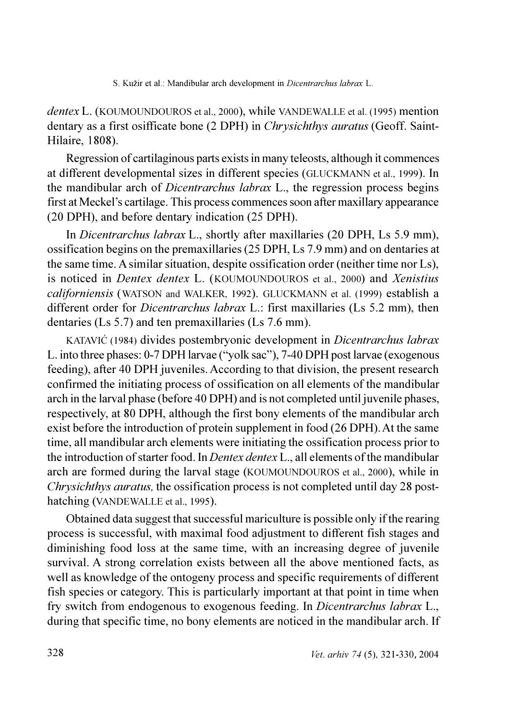*dentex* L. (KOUMOUNDOUROS et al., 2000), while VANDEWALLE et al. (1995) mention dentary as a first osifficate bone (2 DPH) in *Chrysichthys auratus* (Geoff. Saint-Hilaire, 1808).

Regression of cartilaginous parts exists in many teleosts, although it commences at different developmental sizes in different species (GLUCKMANN et al., 1999). In the mandibular arch of *Dicentrarchus labrax* L., the regression process begins first at Meckel's cartilage. This process commences soon after maxillary appearance (20 DPH), and before dentary indication (25 DPH).

In *Dicentrarchus labrax* L., shortly after maxillaries (20 DPH, Ls 5.9 mm), ossification begins on the premaxillaries (25 DPH, Ls 7.9 mm) and on dentaries at the same time. A similar situation, despite ossification order (neither time nor Ls), is noticed in *Dentex dentex L.* (KOUMOUNDOUROS et al., 2000) and *Xenistius* californiensis (WATSON and WALKER, 1992). GLUCKMANN et al. (1999) establish a different order for *Dicentrarchus labrax* L.: first maxillaries (Ls 5.2 mm), then dentaries (Ls 5.7) and ten premaxillaries (Ls 7.6 mm).

KATAVIĆ (1984) divides postembryonic development in *Dicentrarchus labrax* L. into three phases: 0-7 DPH larvae ("yolk sac"), 7-40 DPH post larvae (exogenous feeding), after 40 DPH juveniles. According to that division, the present research confirmed the initiating process of ossification on all elements of the mandibular arch in the larval phase (before 40 DPH) and is not completed until juvenile phases, respectively, at 80 DPH, although the first bony elements of the mandibular arch exist before the introduction of protein supplement in food (26 DPH). At the same time, all mandibular arch elements were initiating the ossification process prior to the introduction of starter food. In *Dentex dentex* L., all elements of the mandibular arch are formed during the larval stage (KOUMOUNDOUROS et al., 2000), while in Chrysichthys auratus, the ossification process is not completed until day 28 posthatching (VANDEWALLE et al., 1995).

Obtained data suggest that successful mariculture is possible only if the rearing process is successful, with maximal food adjustment to different fish stages and diminishing food loss at the same time, with an increasing degree of juvenile survival. A strong correlation exists between all the above mentioned facts, as well as knowledge of the ontogeny process and specific requirements of different fish species or category. This is particularly important at that point in time when fry switch from endogenous to exogenous feeding. In Dicentrarchus labrax L., during that specific time, no bony elements are noticed in the mandibular arch. If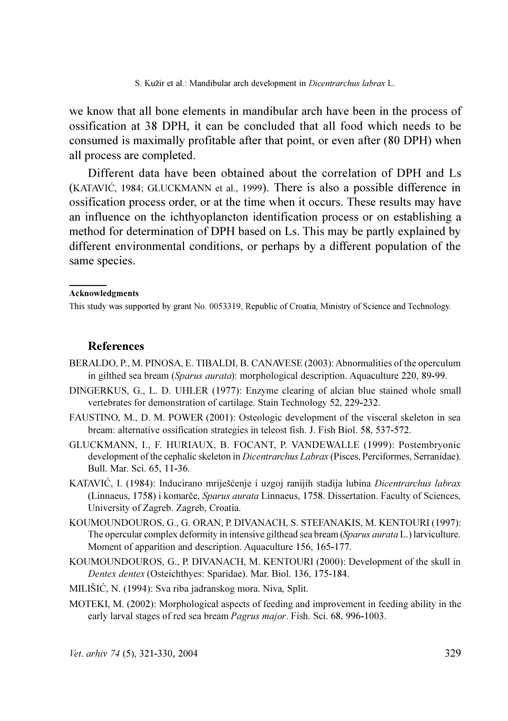we know that all bone elements in mandibular arch have been in the process of ossification at 38 DPH, it can be concluded that all food which needs to be consumed is maximally profitable after that point, or even after (80 DPH) when all process are completed.

Different data have been obtained about the correlation of DPH and Ls (KATAVIĆ, 1984; GLUCKMANN et al., 1999). There is also a possible difference in ossification process order, or at the time when it occurs. These results may have an influence on the ichthyoplancton identification process or on establishing a method for determination of DPH based on Ls. This may be partly explained by different environmental conditions, or perhaps by a different population of the same species.

#### Acknowledgments

This study was supported by grant No. 0053319, Republic of Croatia, Ministry of Science and Technology.

#### **References**

- BERALDO, P. M. PINOSA, E. TIBALDI, B. CANAVESE (2003): Abnormalities of the operculum in gilthed sea bream (Sparus aurata): morphological description. Aquaculture 220, 89-99.
- DINGERKUS, G., L. D. UHLER (1977): Enzyme clearing of alcian blue stained whole small vertebrates for demonstration of cartilage. Stain Technology 52, 229-232.
- FAUSTINO, M., D. M. POWER (2001): Osteologic development of the visceral skeleton in sea bream: alternative ossification strategies in teleost fish. J. Fish Biol. 58, 537-572.
- GLUCKMANN, I., F. HURIAUX, B. FOCANT, P. VANDEWALLE (1999): Postembrvonic development of the cephalic skeleton in *Dicentrarchus Labrax* (Pisces, Perciformes, Serranidae). Bull. Mar. Sci. 65, 11-36.
- KATAVIĆ, I. (1984): Inducirano mriješćenje i uzgoj ranijih stadija lubina Dicentrarchus labrax (Linnaeus, 1758) i komarče, Sparus aurata Linnaeus, 1758. Dissertation. Faculty of Sciences, University of Zagreb. Zagreb, Croatia.
- KOUMOUNDOUROS, G., G. ORAN, P. DIVANACH, S. STEFANAKIS, M. KENTOURI (1997): The opercular complex deformity in intensive gilthead sea bream (Sparus aurata L.) larviculture. Moment of apparition and description. Aquaculture 156, 165-177.
- KOUMOUNDOUROS, G., P. DIVANACH, M. KENTOURI (2000): Development of the skull in Dentex dentex (Osteichthyes: Sparidae). Mar. Biol. 136, 175-184.
- MILIŠIĆ, N. (1994): Sva riba jadranskog mora. Niva, Split.
- MOTEKI, M. (2002): Morphological aspects of feeding and improvement in feeding ability in the early larval stages of red sea bream *Pagrus major*. Fish. Sci. 68, 996-1003.